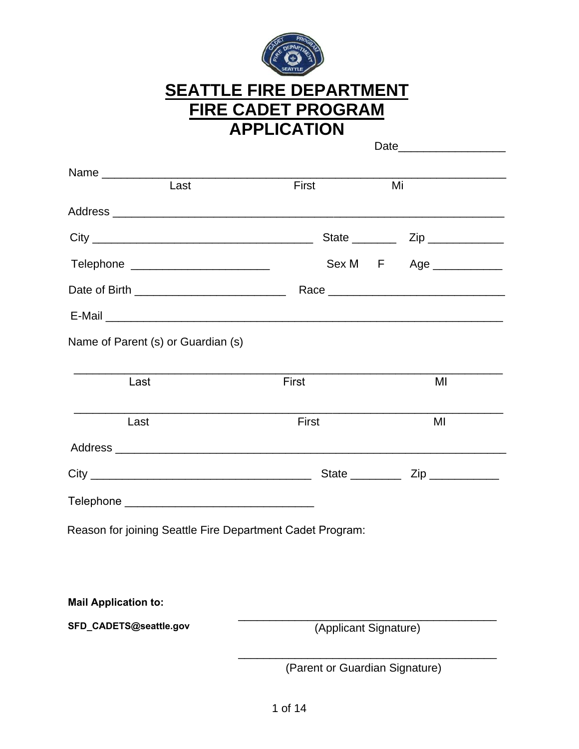

# **SEATTLE FIRE DEPARTMENT FIRE CADET PROGRAM APPLICATION**

| First                 | Mi<br>State $\frac{1}{\sqrt{2}}$ Zip                                                                                                          |
|-----------------------|-----------------------------------------------------------------------------------------------------------------------------------------------|
|                       |                                                                                                                                               |
|                       |                                                                                                                                               |
|                       |                                                                                                                                               |
|                       |                                                                                                                                               |
|                       | Sex M F Age __________                                                                                                                        |
|                       |                                                                                                                                               |
|                       |                                                                                                                                               |
|                       |                                                                                                                                               |
|                       | MI                                                                                                                                            |
|                       |                                                                                                                                               |
| First                 | MI                                                                                                                                            |
|                       |                                                                                                                                               |
|                       |                                                                                                                                               |
|                       |                                                                                                                                               |
|                       |                                                                                                                                               |
|                       |                                                                                                                                               |
|                       |                                                                                                                                               |
|                       |                                                                                                                                               |
| (Applicant Signature) |                                                                                                                                               |
|                       |                                                                                                                                               |
|                       | Telephone ___________________________<br>First<br>Reason for joining Seattle Fire Department Cadet Program:<br>(Parent or Guardian Signature) |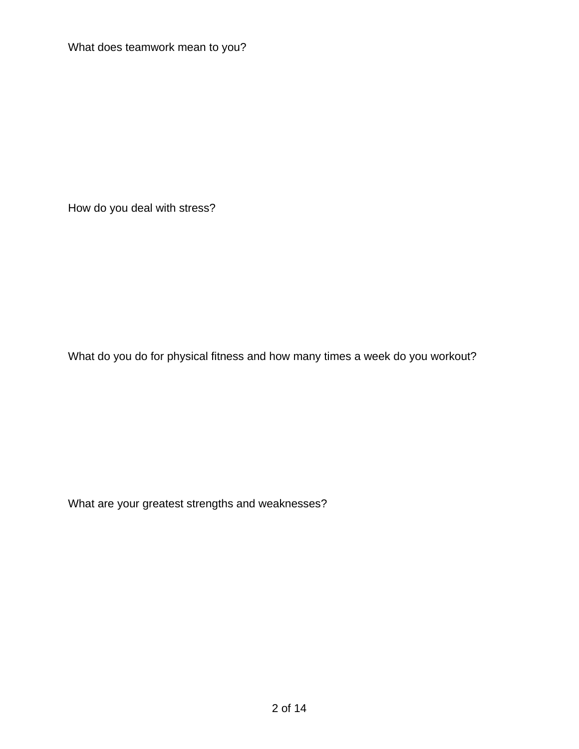What does teamwork mean to you?

How do you deal with stress?

What do you do for physical fitness and how many times a week do you workout?

What are your greatest strengths and weaknesses?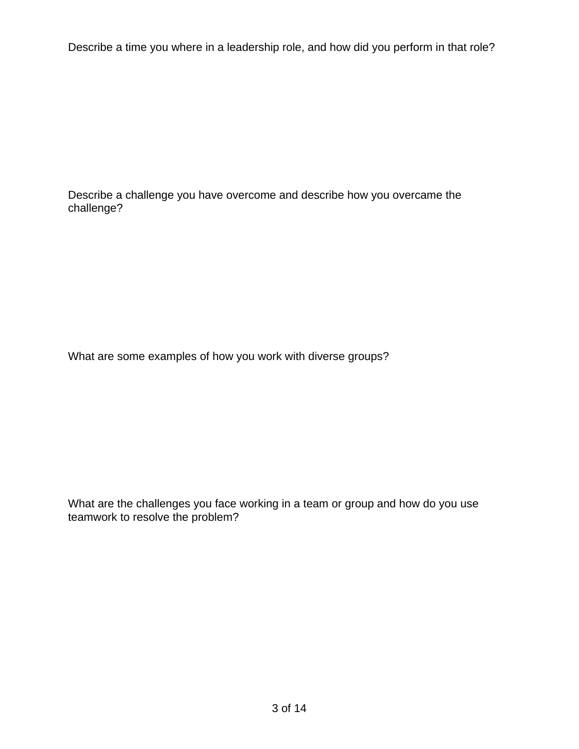Describe a time you where in a leadership role, and how did you perform in that role?

Describe a challenge you have overcome and describe how you overcame the challenge?

What are some examples of how you work with diverse groups?

What are the challenges you face working in a team or group and how do you use teamwork to resolve the problem?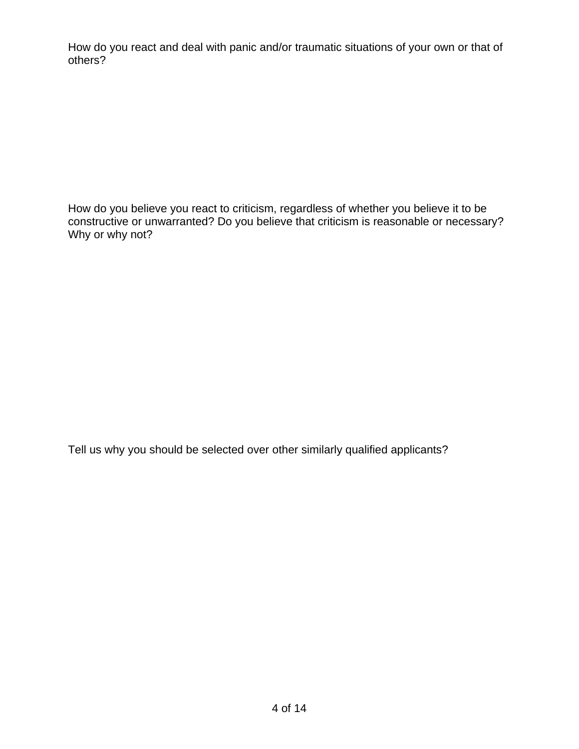How do you react and deal with panic and/or traumatic situations of your own or that of others?

How do you believe you react to criticism, regardless of whether you believe it to be constructive or unwarranted? Do you believe that criticism is reasonable or necessary? Why or why not?

Tell us why you should be selected over other similarly qualified applicants?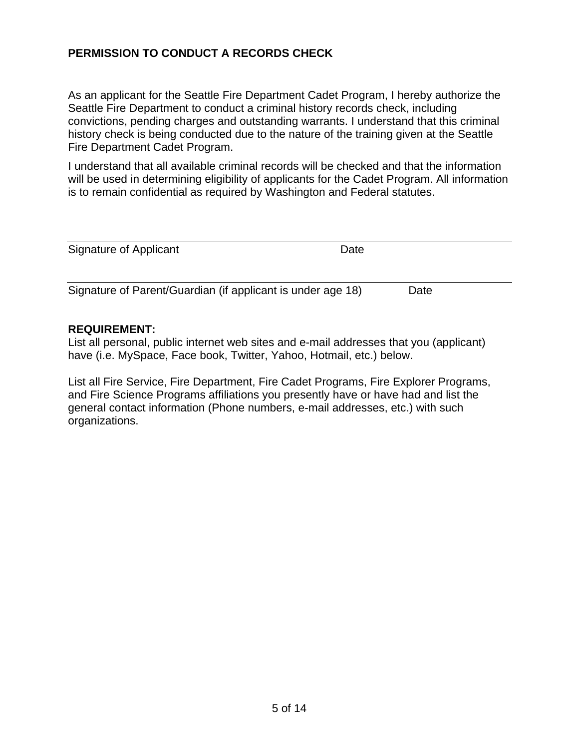## **PERMISSION TO CONDUCT A RECORDS CHECK**

As an applicant for the Seattle Fire Department Cadet Program, I hereby authorize the Seattle Fire Department to conduct a criminal history records check, including convictions, pending charges and outstanding warrants. I understand that this criminal history check is being conducted due to the nature of the training given at the Seattle Fire Department Cadet Program.

I understand that all available criminal records will be checked and that the information will be used in determining eligibility of applicants for the Cadet Program. All information is to remain confidential as required by Washington and Federal statutes.

| Signature of Applicant                                      | Date |      |  |
|-------------------------------------------------------------|------|------|--|
|                                                             |      |      |  |
| Signature of Parent/Guardian (if applicant is under age 18) |      | Date |  |
|                                                             |      |      |  |

#### **REQUIREMENT:**

List all personal, public internet web sites and e-mail addresses that you (applicant) have (i.e. MySpace, Face book, Twitter, Yahoo, Hotmail, etc.) below.

List all Fire Service, Fire Department, Fire Cadet Programs, Fire Explorer Programs, and Fire Science Programs affiliations you presently have or have had and list the general contact information (Phone numbers, e-mail addresses, etc.) with such organizations.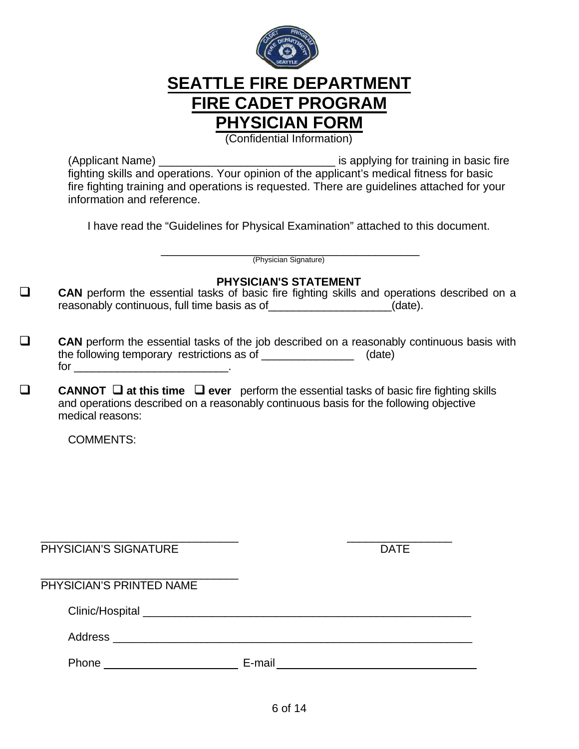

# **SEATTLE FIRE DEPARTMENT FIRE CADET PROGRAM PHYSICIAN FORM**

(Confidential Information)

(Applicant Name) \_\_\_\_\_\_\_\_\_\_\_\_\_\_\_\_\_\_\_\_\_\_\_\_\_\_\_\_ is applying for training in basic fire fighting skills and operations. Your opinion of the applicant's medical fitness for basic fire fighting training and operations is requested. There are guidelines attached for your information and reference.

I have read the "Guidelines for Physical Examination" attached to this document.

\_\_\_\_\_\_\_\_\_\_\_\_\_\_\_\_\_\_\_\_\_\_\_\_\_\_\_\_\_\_\_\_\_\_\_\_\_\_\_\_\_ (Physician Signature)

### **PHYSICIAN'S STATEMENT**

- **CAN** perform the essential tasks of basic fire fighting skills and operations described on a reasonably continuous, full time basis as of \_\_\_\_\_\_\_\_\_\_\_\_\_\_\_\_\_\_\_\_(date).
- **CAN** perform the essential tasks of the job described on a reasonably continuous basis with the following temporary restrictions as of \_\_\_\_\_\_\_\_\_\_\_\_\_\_\_ (date) for  $\Box$
- **CANNOT at this time ever** perform the essential tasks of basic fire fighting skills and operations described on a reasonably continuous basis for the following objective medical reasons:

COMMENTS:

| PHYSICIAN'S SIGNATURE    |        | <b>DATE</b> |
|--------------------------|--------|-------------|
| PHYSICIAN'S PRINTED NAME |        |             |
|                          |        |             |
| Address                  |        |             |
| Phone                    | E-mail |             |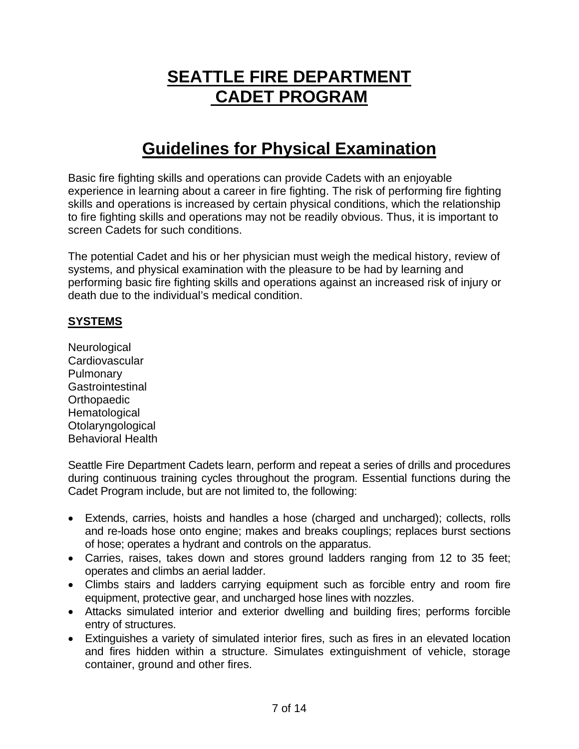# **SEATTLE FIRE DEPARTMENT CADET PROGRAM**

# **Guidelines for Physical Examination**

Basic fire fighting skills and operations can provide Cadets with an enjoyable experience in learning about a career in fire fighting. The risk of performing fire fighting skills and operations is increased by certain physical conditions, which the relationship to fire fighting skills and operations may not be readily obvious. Thus, it is important to screen Cadets for such conditions.

The potential Cadet and his or her physician must weigh the medical history, review of systems, and physical examination with the pleasure to be had by learning and performing basic fire fighting skills and operations against an increased risk of injury or death due to the individual's medical condition.

### **SYSTEMS**

**Neurological Cardiovascular** Pulmonary **Gastrointestinal Orthopaedic Hematological Otolaryngological** Behavioral Health

Seattle Fire Department Cadets learn, perform and repeat a series of drills and procedures during continuous training cycles throughout the program. Essential functions during the Cadet Program include, but are not limited to, the following:

- Extends, carries, hoists and handles a hose (charged and uncharged); collects, rolls and re-loads hose onto engine; makes and breaks couplings; replaces burst sections of hose; operates a hydrant and controls on the apparatus.
- Carries, raises, takes down and stores ground ladders ranging from 12 to 35 feet; operates and climbs an aerial ladder.
- Climbs stairs and ladders carrying equipment such as forcible entry and room fire equipment, protective gear, and uncharged hose lines with nozzles.
- Attacks simulated interior and exterior dwelling and building fires; performs forcible entry of structures.
- Extinguishes a variety of simulated interior fires, such as fires in an elevated location and fires hidden within a structure. Simulates extinguishment of vehicle, storage container, ground and other fires.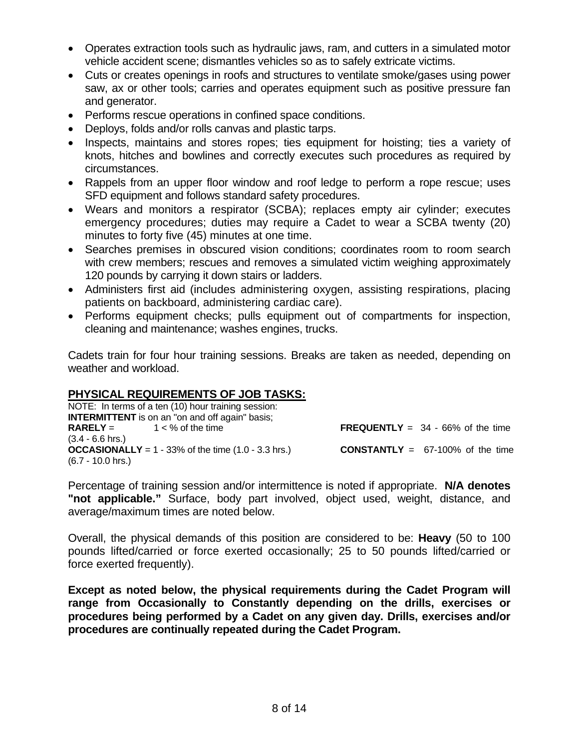- Operates extraction tools such as hydraulic jaws, ram, and cutters in a simulated motor vehicle accident scene; dismantles vehicles so as to safely extricate victims.
- Cuts or creates openings in roofs and structures to ventilate smoke/gases using power saw, ax or other tools; carries and operates equipment such as positive pressure fan and generator.
- Performs rescue operations in confined space conditions.
- Deploys, folds and/or rolls canvas and plastic tarps.
- Inspects, maintains and stores ropes; ties equipment for hoisting; ties a variety of knots, hitches and bowlines and correctly executes such procedures as required by circumstances.
- Rappels from an upper floor window and roof ledge to perform a rope rescue; uses SFD equipment and follows standard safety procedures.
- Wears and monitors a respirator (SCBA); replaces empty air cylinder; executes emergency procedures; duties may require a Cadet to wear a SCBA twenty (20) minutes to forty five (45) minutes at one time.
- Searches premises in obscured vision conditions; coordinates room to room search with crew members; rescues and removes a simulated victim weighing approximately 120 pounds by carrying it down stairs or ladders.
- Administers first aid (includes administering oxygen, assisting respirations, placing patients on backboard, administering cardiac care).
- Performs equipment checks; pulls equipment out of compartments for inspection, cleaning and maintenance; washes engines, trucks.

Cadets train for four hour training sessions. Breaks are taken as needed, depending on weather and workload.

## **PHYSICAL REQUIREMENTS OF JOB TASKS:**

NOTE: In terms of a ten (10) hour training session: **INTERMITTENT** is on an "on and off again" basis;<br>RARELY =  $1 < %$  of the time **FREQUENTLY** =  $34 - 66%$  of the time (3.4 - 6.6 hrs.) **OCCASIONALLY** = 1 - 33% of the time  $(1.0 - 3.3 \text{ hrs.})$  **CONSTANTLY** = 67-100% of the time (6.7 - 10.0 hrs.)

Percentage of training session and/or intermittence is noted if appropriate. **N/A denotes "not applicable."** Surface, body part involved, object used, weight, distance, and average/maximum times are noted below.

Overall, the physical demands of this position are considered to be: **Heavy** (50 to 100 pounds lifted/carried or force exerted occasionally; 25 to 50 pounds lifted/carried or force exerted frequently).

**Except as noted below, the physical requirements during the Cadet Program will range from Occasionally to Constantly depending on the drills, exercises or procedures being performed by a Cadet on any given day. Drills, exercises and/or procedures are continually repeated during the Cadet Program.**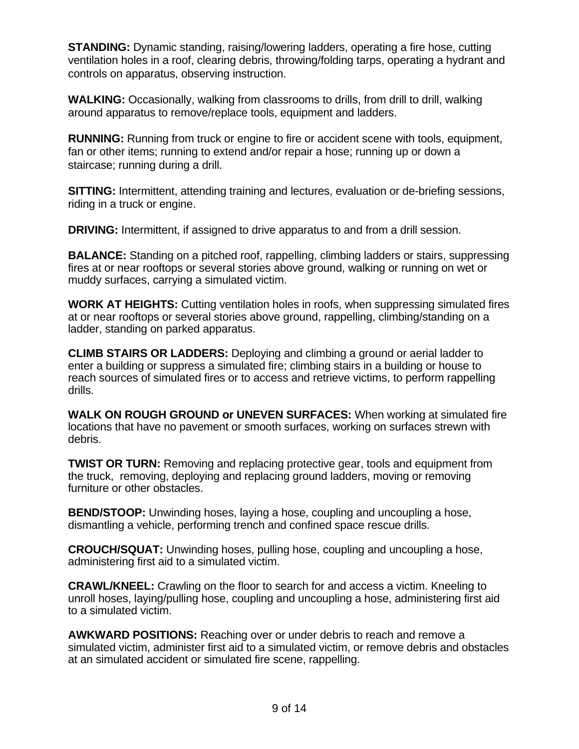**STANDING:** Dynamic standing, raising/lowering ladders, operating a fire hose, cutting ventilation holes in a roof, clearing debris, throwing/folding tarps, operating a hydrant and controls on apparatus, observing instruction.

**WALKING:** Occasionally, walking from classrooms to drills, from drill to drill, walking around apparatus to remove/replace tools, equipment and ladders.

**RUNNING:** Running from truck or engine to fire or accident scene with tools, equipment, fan or other items; running to extend and/or repair a hose; running up or down a staircase; running during a drill.

**SITTING:** Intermittent, attending training and lectures, evaluation or de-briefing sessions, riding in a truck or engine.

**DRIVING:** Intermittent, if assigned to drive apparatus to and from a drill session.

**BALANCE:** Standing on a pitched roof, rappelling, climbing ladders or stairs, suppressing fires at or near rooftops or several stories above ground, walking or running on wet or muddy surfaces, carrying a simulated victim.

**WORK AT HEIGHTS:** Cutting ventilation holes in roofs, when suppressing simulated fires at or near rooftops or several stories above ground, rappelling, climbing/standing on a ladder, standing on parked apparatus.

**CLIMB STAIRS OR LADDERS:** Deploying and climbing a ground or aerial ladder to enter a building or suppress a simulated fire; climbing stairs in a building or house to reach sources of simulated fires or to access and retrieve victims, to perform rappelling drills.

**WALK ON ROUGH GROUND or UNEVEN SURFACES:** When working at simulated fire locations that have no pavement or smooth surfaces, working on surfaces strewn with debris.

**TWIST OR TURN:** Removing and replacing protective gear, tools and equipment from the truck, removing, deploying and replacing ground ladders, moving or removing furniture or other obstacles.

**BEND/STOOP:** Unwinding hoses, laying a hose, coupling and uncoupling a hose, dismantling a vehicle, performing trench and confined space rescue drills.

**CROUCH/SQUAT:** Unwinding hoses, pulling hose, coupling and uncoupling a hose, administering first aid to a simulated victim.

**CRAWL/KNEEL:** Crawling on the floor to search for and access a victim. Kneeling to unroll hoses, laying/pulling hose, coupling and uncoupling a hose, administering first aid to a simulated victim.

**AWKWARD POSITIONS:** Reaching over or under debris to reach and remove a simulated victim, administer first aid to a simulated victim, or remove debris and obstacles at an simulated accident or simulated fire scene, rappelling.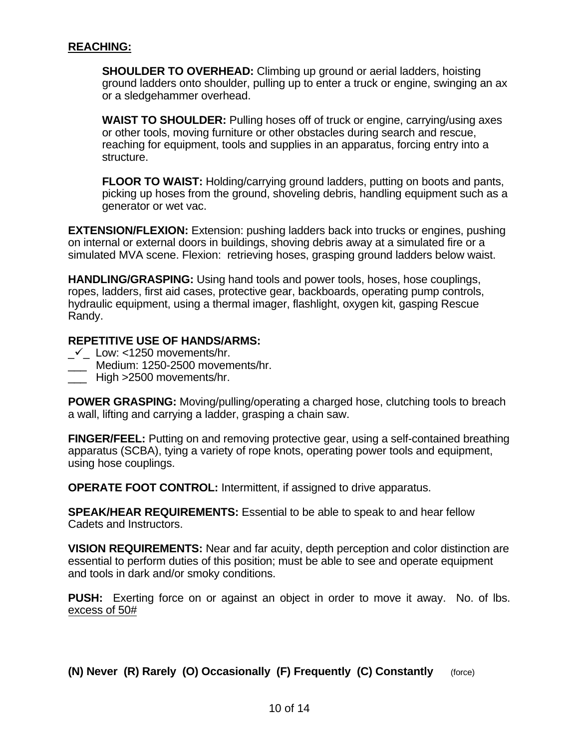**SHOULDER TO OVERHEAD:** Climbing up ground or aerial ladders, hoisting ground ladders onto shoulder, pulling up to enter a truck or engine, swinging an ax or a sledgehammer overhead.

**WAIST TO SHOULDER:** Pulling hoses off of truck or engine, carrying/using axes or other tools, moving furniture or other obstacles during search and rescue, reaching for equipment, tools and supplies in an apparatus, forcing entry into a structure.

**FLOOR TO WAIST:** Holding/carrying ground ladders, putting on boots and pants, picking up hoses from the ground, shoveling debris, handling equipment such as a generator or wet vac.

**EXTENSION/FLEXION:** Extension: pushing ladders back into trucks or engines, pushing on internal or external doors in buildings, shoving debris away at a simulated fire or a simulated MVA scene. Flexion: retrieving hoses, grasping ground ladders below waist.

**HANDLING/GRASPING:** Using hand tools and power tools, hoses, hose couplings, ropes, ladders, first aid cases, protective gear, backboards, operating pump controls, hydraulic equipment, using a thermal imager, flashlight, oxygen kit, gasping Rescue Randy.

#### **REPETITIVE USE OF HANDS/ARMS:**

- $\checkmark$  Low: <1250 movements/hr.
- \_\_\_ Medium: 1250-2500 movements/hr.
- \_\_\_ High >2500 movements/hr.

**POWER GRASPING:** Moving/pulling/operating a charged hose, clutching tools to breach a wall, lifting and carrying a ladder, grasping a chain saw.

**FINGER/FEEL:** Putting on and removing protective gear, using a self-contained breathing apparatus (SCBA), tying a variety of rope knots, operating power tools and equipment, using hose couplings.

**OPERATE FOOT CONTROL:** Intermittent, if assigned to drive apparatus.

**SPEAK/HEAR REQUIREMENTS:** Essential to be able to speak to and hear fellow Cadets and Instructors.

**VISION REQUIREMENTS:** Near and far acuity, depth perception and color distinction are essential to perform duties of this position; must be able to see and operate equipment and tools in dark and/or smoky conditions.

**PUSH:** Exerting force on or against an object in order to move it away. No. of lbs. excess of 50#

**(N) Never (R) Rarely (O) Occasionally (F) Frequently (C) Constantly** (force)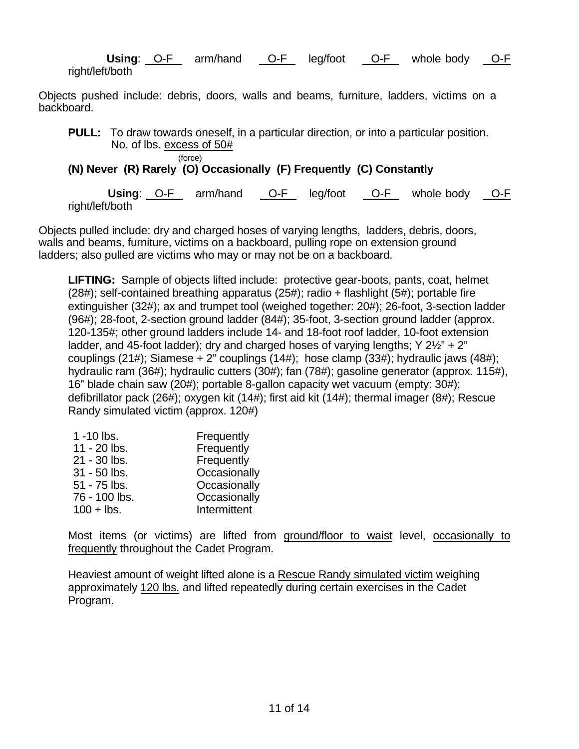**Using:** O-F arm/hand O-F leg/foot O-F whole body O-F right/left/both

Objects pushed include: debris, doors, walls and beams, furniture, ladders, victims on a backboard.

**PULL:** To draw towards oneself, in a particular direction, or into a particular position. No. of lbs. excess of 50#

(force)

# **(N) Never (R) Rarely (O) Occasionally (F) Frequently (C) Constantly**

**Using:** O-F arm/hand O-F leg/foot O-F whole body O-F right/left/both

Objects pulled include: dry and charged hoses of varying lengths, ladders, debris, doors, walls and beams, furniture, victims on a backboard, pulling rope on extension ground ladders; also pulled are victims who may or may not be on a backboard.

**LIFTING:** Sample of objects lifted include: protective gear-boots, pants, coat, helmet (28#); self-contained breathing apparatus (25#); radio + flashlight (5#); portable fire extinguisher (32#); ax and trumpet tool (weighed together: 20#); 26-foot, 3-section ladder (96#); 28-foot, 2-section ground ladder (84#); 35-foot, 3-section ground ladder (approx. 120-135#; other ground ladders include 14- and 18-foot roof ladder, 10-foot extension ladder, and 45-foot ladder); dry and charged hoses of varying lengths; Y 2½" + 2" couplings (21#); Siamese + 2" couplings (14#); hose clamp (33#); hydraulic jaws (48#); hydraulic ram (36#); hydraulic cutters (30#); fan (78#); gasoline generator (approx. 115#), 16" blade chain saw (20#); portable 8-gallon capacity wet vacuum (empty: 30#); defibrillator pack (26#); oxygen kit (14#); first aid kit (14#); thermal imager (8#); Rescue Randy simulated victim (approx. 120#)

| $1 - 10$ lbs.  | Frequently   |
|----------------|--------------|
| 11 - 20 lbs.   | Frequently   |
| 21 - 30 lbs.   | Frequently   |
| $31 - 50$ lbs. | Occasionally |
| 51 - 75 lbs.   | Occasionally |
| 76 - 100 lbs.  | Occasionally |
| $100 +$ lbs.   | Intermittent |

Most items (or victims) are lifted from ground/floor to waist level, occasionally to frequently throughout the Cadet Program.

Heaviest amount of weight lifted alone is a Rescue Randy simulated victim weighing approximately 120 lbs. and lifted repeatedly during certain exercises in the Cadet Program.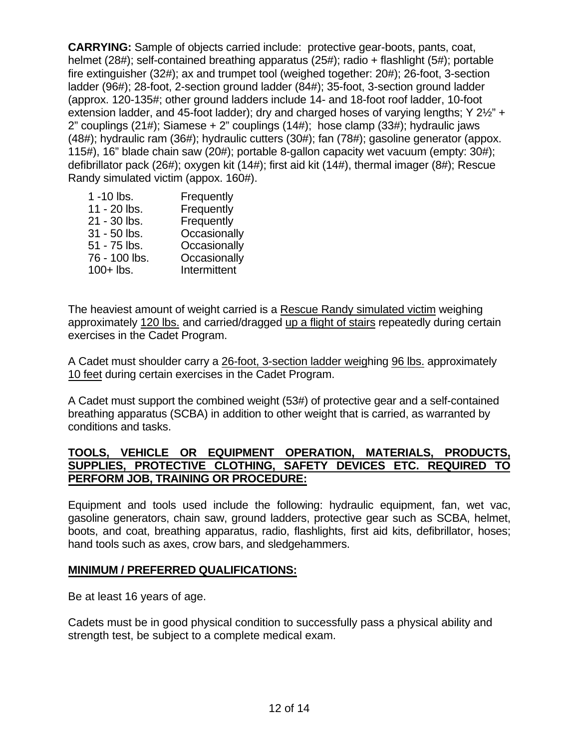**CARRYING:** Sample of objects carried include: protective gear-boots, pants, coat, helmet (28#); self-contained breathing apparatus (25#); radio + flashlight (5#); portable fire extinguisher (32#); ax and trumpet tool (weighed together: 20#); 26-foot, 3-section ladder (96#); 28-foot, 2-section ground ladder (84#); 35-foot, 3-section ground ladder (approx. 120-135#; other ground ladders include 14- and 18-foot roof ladder, 10-foot extension ladder, and 45-foot ladder); dry and charged hoses of varying lengths; Y 2½" + 2" couplings (21#); Siamese + 2" couplings (14#); hose clamp (33#); hydraulic jaws (48#); hydraulic ram (36#); hydraulic cutters (30#); fan (78#); gasoline generator (appox. 115#), 16" blade chain saw (20#); portable 8-gallon capacity wet vacuum (empty: 30#); defibrillator pack (26#); oxygen kit (14#); first aid kit (14#), thermal imager (8#); Rescue Randy simulated victim (appox. 160#).

| Frequently   |
|--------------|
| Frequently   |
| Frequently   |
| Occasionally |
| Occasionally |
| Occasionally |
| Intermittent |
|              |

The heaviest amount of weight carried is a Rescue Randy simulated victim weighing approximately 120 lbs. and carried/dragged up a flight of stairs repeatedly during certain exercises in the Cadet Program.

A Cadet must shoulder carry a 26-foot, 3-section ladder weighing 96 lbs. approximately 10 feet during certain exercises in the Cadet Program.

A Cadet must support the combined weight (53#) of protective gear and a self-contained breathing apparatus (SCBA) in addition to other weight that is carried, as warranted by conditions and tasks.

#### **TOOLS, VEHICLE OR EQUIPMENT OPERATION, MATERIALS, PRODUCTS, SUPPLIES, PROTECTIVE CLOTHING, SAFETY DEVICES ETC. REQUIRED TO PERFORM JOB, TRAINING OR PROCEDURE:**

Equipment and tools used include the following: hydraulic equipment, fan, wet vac, gasoline generators, chain saw, ground ladders, protective gear such as SCBA, helmet, boots, and coat, breathing apparatus, radio, flashlights, first aid kits, defibrillator, hoses; hand tools such as axes, crow bars, and sledgehammers.

#### **MINIMUM / PREFERRED QUALIFICATIONS:**

Be at least 16 years of age.

Cadets must be in good physical condition to successfully pass a physical ability and strength test, be subject to a complete medical exam.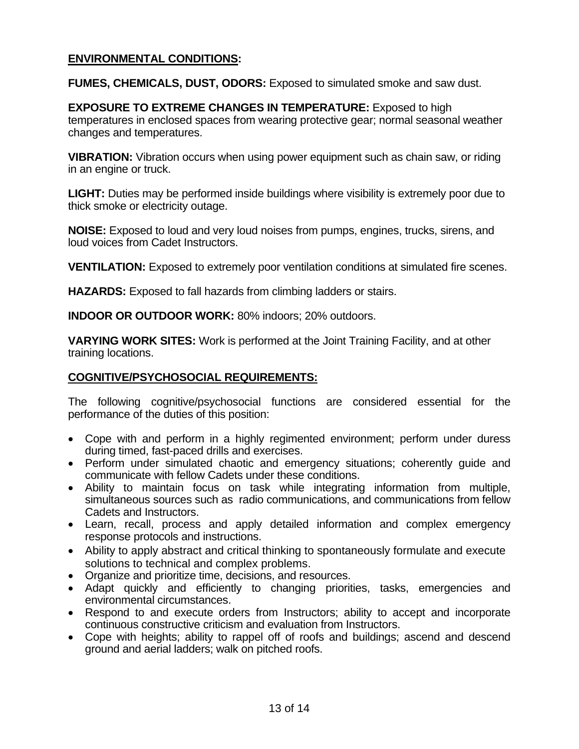## **ENVIRONMENTAL CONDITIONS:**

**FUMES, CHEMICALS, DUST, ODORS:** Exposed to simulated smoke and saw dust.

**EXPOSURE TO EXTREME CHANGES IN TEMPERATURE:** Exposed to high temperatures in enclosed spaces from wearing protective gear; normal seasonal weather changes and temperatures.

**VIBRATION:** Vibration occurs when using power equipment such as chain saw, or riding in an engine or truck.

**LIGHT:** Duties may be performed inside buildings where visibility is extremely poor due to thick smoke or electricity outage.

**NOISE:** Exposed to loud and very loud noises from pumps, engines, trucks, sirens, and loud voices from Cadet Instructors.

**VENTILATION:** Exposed to extremely poor ventilation conditions at simulated fire scenes.

**HAZARDS:** Exposed to fall hazards from climbing ladders or stairs.

**INDOOR OR OUTDOOR WORK:** 80% indoors; 20% outdoors.

**VARYING WORK SITES:** Work is performed at the Joint Training Facility, and at other training locations.

#### **COGNITIVE/PSYCHOSOCIAL REQUIREMENTS:**

The following cognitive/psychosocial functions are considered essential for the performance of the duties of this position:

- Cope with and perform in a highly regimented environment; perform under duress during timed, fast-paced drills and exercises.
- Perform under simulated chaotic and emergency situations; coherently guide and communicate with fellow Cadets under these conditions.
- Ability to maintain focus on task while integrating information from multiple, simultaneous sources such as radio communications, and communications from fellow Cadets and Instructors.
- Learn, recall, process and apply detailed information and complex emergency response protocols and instructions.
- Ability to apply abstract and critical thinking to spontaneously formulate and execute solutions to technical and complex problems.
- Organize and prioritize time, decisions, and resources.
- Adapt quickly and efficiently to changing priorities, tasks, emergencies and environmental circumstances.
- Respond to and execute orders from Instructors; ability to accept and incorporate continuous constructive criticism and evaluation from Instructors.
- Cope with heights; ability to rappel off of roofs and buildings; ascend and descend ground and aerial ladders; walk on pitched roofs.